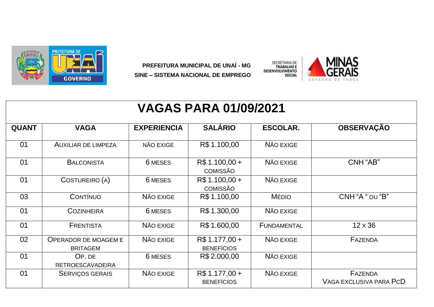

PREFEITURA MUNICIPAL DE UNAÍ - MG SINE - SISTEMA NACIONAL DE EMPREGO



| <b>VAGAS PARA 01/09/2021</b> |                                                |                    |                                     |                    |                                           |  |  |  |  |
|------------------------------|------------------------------------------------|--------------------|-------------------------------------|--------------------|-------------------------------------------|--|--|--|--|
| <b>QUANT</b>                 | <b>VAGA</b>                                    | <b>EXPERIENCIA</b> | <b>SALÁRIO</b>                      | <b>ESCOLAR.</b>    | <b>OBSERVAÇÃO</b>                         |  |  |  |  |
| 01                           | <b>AUXILIAR DE LIMPEZA</b>                     | NÃO EXIGE          | R\$ 1.100,00                        | NÃO EXIGE          |                                           |  |  |  |  |
| 01                           | <b>BALCONISTA</b>                              | 6 MESES            | R\$ 1.100,00 +<br><b>COMISSÃO</b>   | NÃO EXIGE          | CNH "AB"                                  |  |  |  |  |
| 01                           | COSTUREIRO (A)                                 | 6 MESES            | R\$ 1.100,00 +<br><b>COMISSÃO</b>   | NÃO EXIGE          |                                           |  |  |  |  |
| 03                           | <b>CONTÍNUO</b>                                | NÃO EXIGE          | R\$ 1.100,00                        | <b>MÉDIO</b>       | CNH "A " OU "B"                           |  |  |  |  |
| 01                           | <b>COZINHEIRA</b>                              | 6 MESES            | R\$ 1.300,00                        | NÃO EXIGE          |                                           |  |  |  |  |
| 01                           | <b>FRENTISTA</b>                               | NÃO EXIGE          | R\$ 1.600,00                        | <b>FUNDAMENTAL</b> | $12 \times 36$                            |  |  |  |  |
| 02                           | <b>OPERADOR DE MOAGEM E</b><br><b>BRITAGEM</b> | NÃO EXIGE          | R\$ 1.177,00 +<br><b>BENEFÍCIOS</b> | NÃO EXIGE          | FAZENDA                                   |  |  |  |  |
| 01                           | OP. DE<br><b>RETROESCAVADEIRA</b>              | 6 MESES            | R\$ 2.000,00                        | NÃO EXIGE          |                                           |  |  |  |  |
| 01                           | <b>SERVIÇOS GERAIS</b>                         | NÃO EXIGE          | R\$ 1.177,00 +<br><b>BENEFÍCIOS</b> | NÃO EXIGE          | <b>FAZENDA</b><br>VAGA EXCLUSIVA PARA PCD |  |  |  |  |